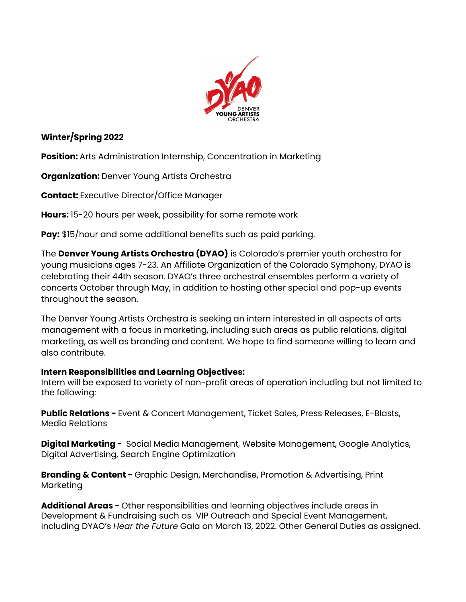

## **Winter/Spring 2022**

**Position:** Arts Administration Internship, Concentration in Marketing

**Organization:** Denver Young Artists Orchestra

**Contact:** Executive Director/Office Manager

**Hours:** 15-20 hours per week, possibility for some remote work

**Pay:** \$15/hour and some additional benefits such as paid parking.

The **Denver Young Artists Orchestra (DYAO)** is Colorado's premier youth orchestra for young musicians ages 7-23. An Affiliate Organization of the Colorado Symphony, DYAO is celebrating their 44th season. DYAO's three orchestral ensembles perform a variety of concerts October through May, in addition to hosting other special and pop-up events throughout the season.

The Denver Young Artists Orchestra is seeking an intern interested in all aspects of arts management with a focus in marketing, including such areas as public relations, digital marketing, as well as branding and content. We hope to find someone willing to learn and also contribute.

## **Intern Responsibilities and Learning Objectives:**

Intern will be exposed to variety of non-profit areas of operation including but not limited to the following:

**Public Relations -** Event & Concert Management, Ticket Sales, Press Releases, E-Blasts, Media Relations

**Digital Marketing -** Social Media Management, Website Management, Google Analytics, Digital Advertising, Search Engine Optimization

**Branding & Content -** Graphic Design, Merchandise, Promotion & Advertising, Print Marketing

**Additional Areas -** Other responsibilities and learning objectives include areas in Development & Fundraising such as VIP Outreach and Special Event Management, including DYAO's *Hear the Future* Gala on March 13, 2022. Other General Duties as assigned.